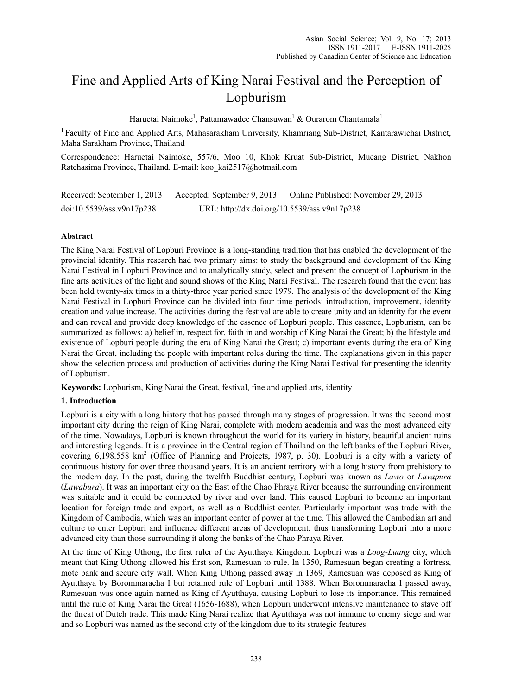# Fine and Applied Arts of King Narai Festival and the Perception of Lopburism

Haruetai Naimoke<sup>1</sup>, Pattamawadee Chansuwan<sup>1</sup> & Ourarom Chantamala<sup>1</sup>

1 Faculty of Fine and Applied Arts, Mahasarakham University, Khamriang Sub-District, Kantarawichai District, Maha Sarakham Province, Thailand

Correspondence: Haruetai Naimoke, 557/6, Moo 10, Khok Kruat Sub-District, Mueang District, Nakhon Ratchasima Province, Thailand. E-mail: koo\_kai2517@hotmail.com

Received: September 1, 2013 Accepted: September 9, 2013 Online Published: November 29, 2013 doi:10.5539/ass.v9n17p238 URL: http://dx.doi.org/10.5539/ass.v9n17p238

# **Abstract**

The King Narai Festival of Lopburi Province is a long-standing tradition that has enabled the development of the provincial identity. This research had two primary aims: to study the background and development of the King Narai Festival in Lopburi Province and to analytically study, select and present the concept of Lopburism in the fine arts activities of the light and sound shows of the King Narai Festival. The research found that the event has been held twenty-six times in a thirty-three year period since 1979. The analysis of the development of the King Narai Festival in Lopburi Province can be divided into four time periods: introduction, improvement, identity creation and value increase. The activities during the festival are able to create unity and an identity for the event and can reveal and provide deep knowledge of the essence of Lopburi people. This essence, Lopburism, can be summarized as follows: a) belief in, respect for, faith in and worship of King Narai the Great; b) the lifestyle and existence of Lopburi people during the era of King Narai the Great; c) important events during the era of King Narai the Great, including the people with important roles during the time. The explanations given in this paper show the selection process and production of activities during the King Narai Festival for presenting the identity of Lopburism.

**Keywords:** Lopburism, King Narai the Great, festival, fine and applied arts, identity

# **1. Introduction**

Lopburi is a city with a long history that has passed through many stages of progression. It was the second most important city during the reign of King Narai, complete with modern academia and was the most advanced city of the time. Nowadays, Lopburi is known throughout the world for its variety in history, beautiful ancient ruins and interesting legends. It is a province in the Central region of Thailand on the left banks of the Lopburi River, covering 6,198.558 km<sup>2</sup> (Office of Planning and Projects, 1987, p. 30). Lopburi is a city with a variety of continuous history for over three thousand years. It is an ancient territory with a long history from prehistory to the modern day. In the past, during the twelfth Buddhist century, Lopburi was known as *Lawo* or *Lavapura* (*Lawabura*). It was an important city on the East of the Chao Phraya River because the surrounding environment was suitable and it could be connected by river and over land. This caused Lopburi to become an important location for foreign trade and export, as well as a Buddhist center. Particularly important was trade with the Kingdom of Cambodia, which was an important center of power at the time. This allowed the Cambodian art and culture to enter Lopburi and influence different areas of development, thus transforming Lopburi into a more advanced city than those surrounding it along the banks of the Chao Phraya River.

At the time of King Uthong, the first ruler of the Ayutthaya Kingdom, Lopburi was a *Loog-Luang* city, which meant that King Uthong allowed his first son, Ramesuan to rule. In 1350, Ramesuan began creating a fortress, mote bank and secure city wall. When King Uthong passed away in 1369, Ramesuan was deposed as King of Ayutthaya by Borommaracha I but retained rule of Lopburi until 1388. When Borommaracha I passed away, Ramesuan was once again named as King of Ayutthaya, causing Lopburi to lose its importance. This remained until the rule of King Narai the Great (1656-1688), when Lopburi underwent intensive maintenance to stave off the threat of Dutch trade. This made King Narai realize that Ayutthaya was not immune to enemy siege and war and so Lopburi was named as the second city of the kingdom due to its strategic features.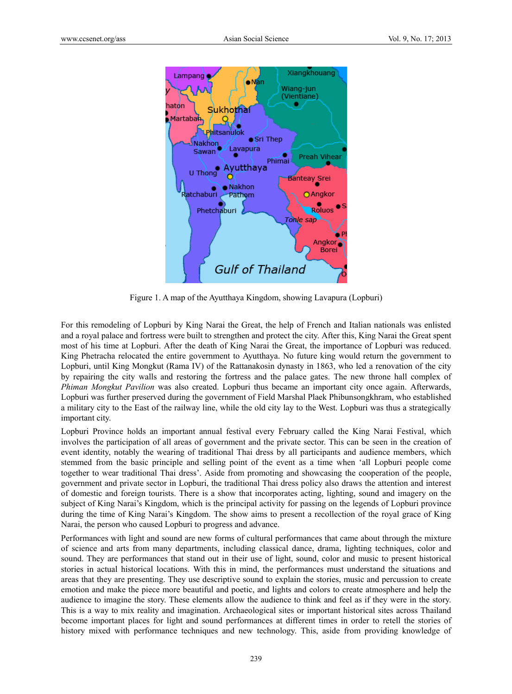

Figure 1. A map of the Ayutthaya Kingdom, showing Lavapura (Lopburi)

For this remodeling of Lopburi by King Narai the Great, the help of French and Italian nationals was enlisted and a royal palace and fortress were built to strengthen and protect the city. After this, King Narai the Great spent most of his time at Lopburi. After the death of King Narai the Great, the importance of Lopburi was reduced. King Phetracha relocated the entire government to Ayutthaya. No future king would return the government to Lopburi, until King Mongkut (Rama IV) of the Rattanakosin dynasty in 1863, who led a renovation of the city by repairing the city walls and restoring the fortress and the palace gates. The new throne hall complex of *Phiman Mongkut Pavilion* was also created. Lopburi thus became an important city once again. Afterwards, Lopburi was further preserved during the government of Field Marshal Plaek Phibunsongkhram, who established a military city to the East of the railway line, while the old city lay to the West. Lopburi was thus a strategically important city.

Lopburi Province holds an important annual festival every February called the King Narai Festival, which involves the participation of all areas of government and the private sector. This can be seen in the creation of event identity, notably the wearing of traditional Thai dress by all participants and audience members, which stemmed from the basic principle and selling point of the event as a time when 'all Lopburi people come together to wear traditional Thai dress'. Aside from promoting and showcasing the cooperation of the people, government and private sector in Lopburi, the traditional Thai dress policy also draws the attention and interest of domestic and foreign tourists. There is a show that incorporates acting, lighting, sound and imagery on the subject of King Narai's Kingdom, which is the principal activity for passing on the legends of Lopburi province during the time of King Narai's Kingdom. The show aims to present a recollection of the royal grace of King Narai, the person who caused Lopburi to progress and advance.

Performances with light and sound are new forms of cultural performances that came about through the mixture of science and arts from many departments, including classical dance, drama, lighting techniques, color and sound. They are performances that stand out in their use of light, sound, color and music to present historical stories in actual historical locations. With this in mind, the performances must understand the situations and areas that they are presenting. They use descriptive sound to explain the stories, music and percussion to create emotion and make the piece more beautiful and poetic, and lights and colors to create atmosphere and help the audience to imagine the story. These elements allow the audience to think and feel as if they were in the story. This is a way to mix reality and imagination. Archaeological sites or important historical sites across Thailand become important places for light and sound performances at different times in order to retell the stories of history mixed with performance techniques and new technology. This, aside from providing knowledge of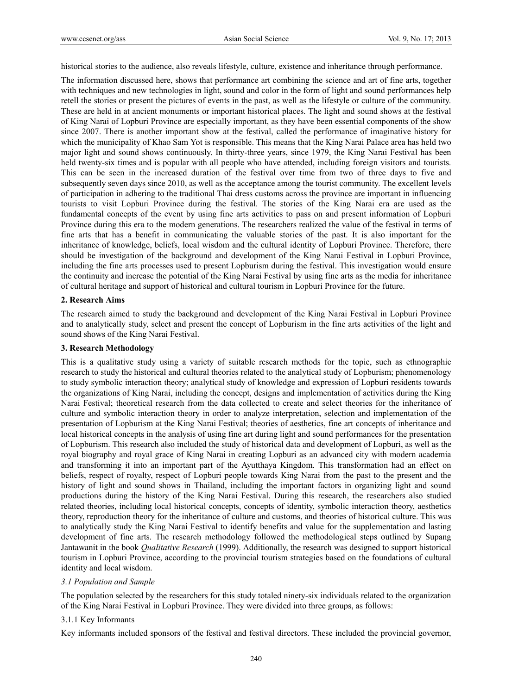historical stories to the audience, also reveals lifestyle, culture, existence and inheritance through performance.

The information discussed here, shows that performance art combining the science and art of fine arts, together with techniques and new technologies in light, sound and color in the form of light and sound performances help retell the stories or present the pictures of events in the past, as well as the lifestyle or culture of the community. These are held in at ancient monuments or important historical places. The light and sound shows at the festival of King Narai of Lopburi Province are especially important, as they have been essential components of the show since 2007. There is another important show at the festival, called the performance of imaginative history for which the municipality of Khao Sam Yot is responsible. This means that the King Narai Palace area has held two major light and sound shows continuously. In thirty-three years, since 1979, the King Narai Festival has been held twenty-six times and is popular with all people who have attended, including foreign visitors and tourists. This can be seen in the increased duration of the festival over time from two of three days to five and subsequently seven days since 2010, as well as the acceptance among the tourist community. The excellent levels of participation in adhering to the traditional Thai dress customs across the province are important in influencing tourists to visit Lopburi Province during the festival. The stories of the King Narai era are used as the fundamental concepts of the event by using fine arts activities to pass on and present information of Lopburi Province during this era to the modern generations. The researchers realized the value of the festival in terms of fine arts that has a benefit in communicating the valuable stories of the past. It is also important for the inheritance of knowledge, beliefs, local wisdom and the cultural identity of Lopburi Province. Therefore, there should be investigation of the background and development of the King Narai Festival in Lopburi Province, including the fine arts processes used to present Lopburism during the festival. This investigation would ensure the continuity and increase the potential of the King Narai Festival by using fine arts as the media for inheritance of cultural heritage and support of historical and cultural tourism in Lopburi Province for the future.

# **2. Research Aims**

The research aimed to study the background and development of the King Narai Festival in Lopburi Province and to analytically study, select and present the concept of Lopburism in the fine arts activities of the light and sound shows of the King Narai Festival.

# **3. Research Methodology**

This is a qualitative study using a variety of suitable research methods for the topic, such as ethnographic research to study the historical and cultural theories related to the analytical study of Lopburism; phenomenology to study symbolic interaction theory; analytical study of knowledge and expression of Lopburi residents towards the organizations of King Narai, including the concept, designs and implementation of activities during the King Narai Festival; theoretical research from the data collected to create and select theories for the inheritance of culture and symbolic interaction theory in order to analyze interpretation, selection and implementation of the presentation of Lopburism at the King Narai Festival; theories of aesthetics, fine art concepts of inheritance and local historical concepts in the analysis of using fine art during light and sound performances for the presentation of Lopburism. This research also included the study of historical data and development of Lopburi, as well as the royal biography and royal grace of King Narai in creating Lopburi as an advanced city with modern academia and transforming it into an important part of the Ayutthaya Kingdom. This transformation had an effect on beliefs, respect of royalty, respect of Lopburi people towards King Narai from the past to the present and the history of light and sound shows in Thailand, including the important factors in organizing light and sound productions during the history of the King Narai Festival. During this research, the researchers also studied related theories, including local historical concepts, concepts of identity, symbolic interaction theory, aesthetics theory, reproduction theory for the inheritance of culture and customs, and theories of historical culture. This was to analytically study the King Narai Festival to identify benefits and value for the supplementation and lasting development of fine arts. The research methodology followed the methodological steps outlined by Supang Jantawanit in the book *Qualitative Research* (1999). Additionally, the research was designed to support historical tourism in Lopburi Province, according to the provincial tourism strategies based on the foundations of cultural identity and local wisdom.

# *3.1 Population and Sample*

The population selected by the researchers for this study totaled ninety-six individuals related to the organization of the King Narai Festival in Lopburi Province. They were divided into three groups, as follows:

# 3.1.1 Key Informants

Key informants included sponsors of the festival and festival directors. These included the provincial governor,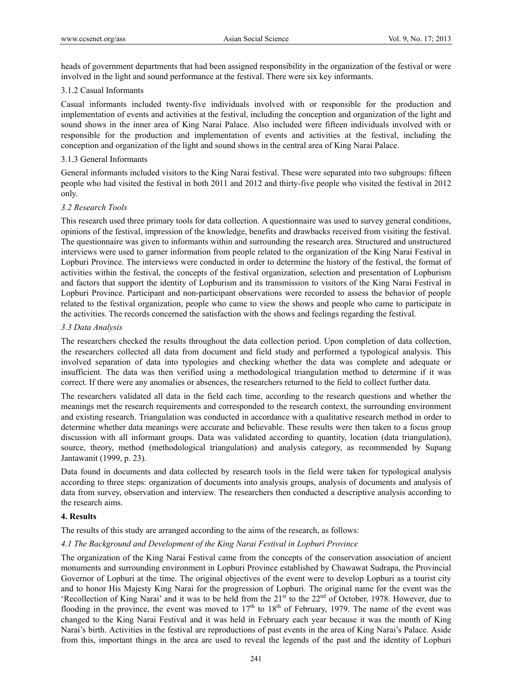heads of government departments that had been assigned responsibility in the organization of the festival or were involved in the light and sound performance at the festival. There were six key informants.

## 3.1.2 Casual Informants

Casual informants included twenty-five individuals involved with or responsible for the production and implementation of events and activities at the festival, including the conception and organization of the light and sound shows in the inner area of King Narai Palace. Also included were fifteen individuals involved with or responsible for the production and implementation of events and activities at the festival, including the conception and organization of the light and sound shows in the central area of King Narai Palace.

## 3.1.3 General Informants

General informants included visitors to the King Narai festival. These were separated into two subgroups: fifteen people who had visited the festival in both 2011 and 2012 and thirty-five people who visited the festival in 2012 only.

## *3.2 Research Tools*

This research used three primary tools for data collection. A questionnaire was used to survey general conditions, opinions of the festival, impression of the knowledge, benefits and drawbacks received from visiting the festival. The questionnaire was given to informants within and surrounding the research area. Structured and unstructured interviews were used to garner information from people related to the organization of the King Narai Festival in Lopburi Province. The interviews were conducted in order to determine the history of the festival, the format of activities within the festival, the concepts of the festival organization, selection and presentation of Lopburism and factors that support the identity of Lopburism and its transmission to visitors of the King Narai Festival in Lopburi Province. Participant and non-participant observations were recorded to assess the behavior of people related to the festival organization, people who came to view the shows and people who came to participate in the activities. The records concerned the satisfaction with the shows and feelings regarding the festival.

## *3.3 Data Analysis*

The researchers checked the results throughout the data collection period. Upon completion of data collection, the researchers collected all data from document and field study and performed a typological analysis. This involved separation of data into typologies and checking whether the data was complete and adequate or insufficient. The data was then verified using a methodological triangulation method to determine if it was correct. If there were any anomalies or absences, the researchers returned to the field to collect further data.

The researchers validated all data in the field each time, according to the research questions and whether the meanings met the research requirements and corresponded to the research context, the surrounding environment and existing research. Triangulation was conducted in accordance with a qualitative research method in order to determine whether data meanings were accurate and believable. These results were then taken to a focus group discussion with all informant groups. Data was validated according to quantity, location (data triangulation), source, theory, method (methodological triangulation) and analysis category, as recommended by Supang Jantawanit (1999, p. 23).

Data found in documents and data collected by research tools in the field were taken for typological analysis according to three steps: organization of documents into analysis groups, analysis of documents and analysis of data from survey, observation and interview. The researchers then conducted a descriptive analysis according to the research aims.

#### **4. Results**

The results of this study are arranged according to the aims of the research, as follows:

# *4.1 The Background and Development of the King Narai Festival in Lopburi Province*

The organization of the King Narai Festival came from the concepts of the conservation association of ancient monuments and surrounding environment in Lopburi Province established by Chawawat Sudrapa, the Provincial Governor of Lopburi at the time. The original objectives of the event were to develop Lopburi as a tourist city and to honor His Majesty King Narai for the progression of Lopburi. The original name for the event was the 'Recollection of King Narai' and it was to be held from the  $21<sup>st</sup>$  to the  $22<sup>nd</sup>$  of October, 1978. However, due to flooding in the province, the event was moved to  $17<sup>th</sup>$  to  $18<sup>th</sup>$  of February, 1979. The name of the event was changed to the King Narai Festival and it was held in February each year because it was the month of King Narai's birth. Activities in the festival are reproductions of past events in the area of King Narai's Palace. Aside from this, important things in the area are used to reveal the legends of the past and the identity of Lopburi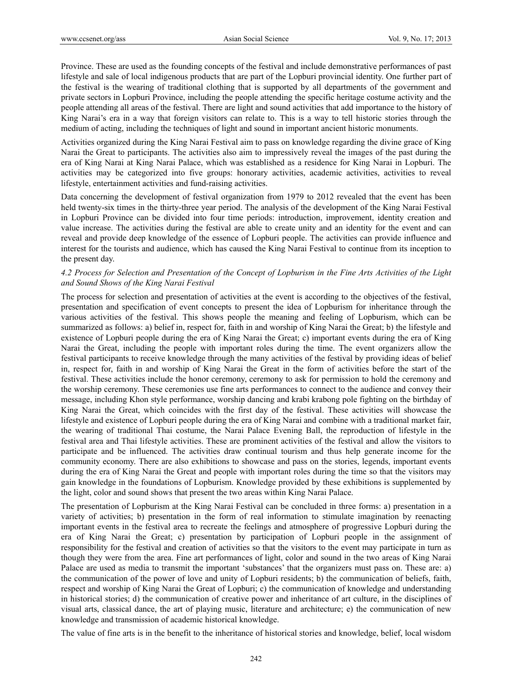Province. These are used as the founding concepts of the festival and include demonstrative performances of past lifestyle and sale of local indigenous products that are part of the Lopburi provincial identity. One further part of the festival is the wearing of traditional clothing that is supported by all departments of the government and private sectors in Lopburi Province, including the people attending the specific heritage costume activity and the people attending all areas of the festival. There are light and sound activities that add importance to the history of King Narai's era in a way that foreign visitors can relate to. This is a way to tell historic stories through the medium of acting, including the techniques of light and sound in important ancient historic monuments.

Activities organized during the King Narai Festival aim to pass on knowledge regarding the divine grace of King Narai the Great to participants. The activities also aim to impressively reveal the images of the past during the era of King Narai at King Narai Palace, which was established as a residence for King Narai in Lopburi. The activities may be categorized into five groups: honorary activities, academic activities, activities to reveal lifestyle, entertainment activities and fund-raising activities.

Data concerning the development of festival organization from 1979 to 2012 revealed that the event has been held twenty-six times in the thirty-three year period. The analysis of the development of the King Narai Festival in Lopburi Province can be divided into four time periods: introduction, improvement, identity creation and value increase. The activities during the festival are able to create unity and an identity for the event and can reveal and provide deep knowledge of the essence of Lopburi people. The activities can provide influence and interest for the tourists and audience, which has caused the King Narai Festival to continue from its inception to the present day.

# *4.2 Process for Selection and Presentation of the Concept of Lopburism in the Fine Arts Activities of the Light and Sound Shows of the King Narai Festival*

The process for selection and presentation of activities at the event is according to the objectives of the festival, presentation and specification of event concepts to present the idea of Lopburism for inheritance through the various activities of the festival. This shows people the meaning and feeling of Lopburism, which can be summarized as follows: a) belief in, respect for, faith in and worship of King Narai the Great; b) the lifestyle and existence of Lopburi people during the era of King Narai the Great; c) important events during the era of King Narai the Great, including the people with important roles during the time. The event organizers allow the festival participants to receive knowledge through the many activities of the festival by providing ideas of belief in, respect for, faith in and worship of King Narai the Great in the form of activities before the start of the festival. These activities include the honor ceremony, ceremony to ask for permission to hold the ceremony and the worship ceremony. These ceremonies use fine arts performances to connect to the audience and convey their message, including Khon style performance, worship dancing and krabi krabong pole fighting on the birthday of King Narai the Great, which coincides with the first day of the festival. These activities will showcase the lifestyle and existence of Lopburi people during the era of King Narai and combine with a traditional market fair, the wearing of traditional Thai costume, the Narai Palace Evening Ball, the reproduction of lifestyle in the festival area and Thai lifestyle activities. These are prominent activities of the festival and allow the visitors to participate and be influenced. The activities draw continual tourism and thus help generate income for the community economy. There are also exhibitions to showcase and pass on the stories, legends, important events during the era of King Narai the Great and people with important roles during the time so that the visitors may gain knowledge in the foundations of Lopburism. Knowledge provided by these exhibitions is supplemented by the light, color and sound shows that present the two areas within King Narai Palace.

The presentation of Lopburism at the King Narai Festival can be concluded in three forms: a) presentation in a variety of activities; b) presentation in the form of real information to stimulate imagination by reenacting important events in the festival area to recreate the feelings and atmosphere of progressive Lopburi during the era of King Narai the Great; c) presentation by participation of Lopburi people in the assignment of responsibility for the festival and creation of activities so that the visitors to the event may participate in turn as though they were from the area. Fine art performances of light, color and sound in the two areas of King Narai Palace are used as media to transmit the important 'substances' that the organizers must pass on. These are: a) the communication of the power of love and unity of Lopburi residents; b) the communication of beliefs, faith, respect and worship of King Narai the Great of Lopburi; c) the communication of knowledge and understanding in historical stories; d) the communication of creative power and inheritance of art culture, in the disciplines of visual arts, classical dance, the art of playing music, literature and architecture; e) the communication of new knowledge and transmission of academic historical knowledge.

The value of fine arts is in the benefit to the inheritance of historical stories and knowledge, belief, local wisdom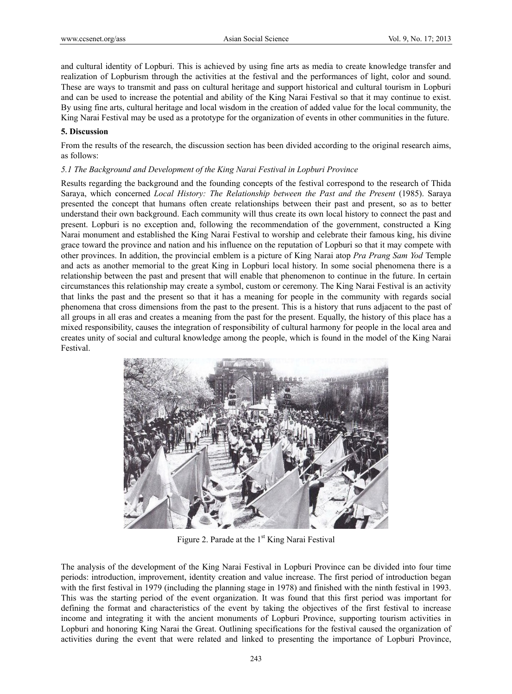and cultural identity of Lopburi. This is achieved by using fine arts as media to create knowledge transfer and realization of Lopburism through the activities at the festival and the performances of light, color and sound. These are ways to transmit and pass on cultural heritage and support historical and cultural tourism in Lopburi and can be used to increase the potential and ability of the King Narai Festival so that it may continue to exist. By using fine arts, cultural heritage and local wisdom in the creation of added value for the local community, the King Narai Festival may be used as a prototype for the organization of events in other communities in the future.

# **5. Discussion**

From the results of the research, the discussion section has been divided according to the original research aims, as follows:

## *5.1 The Background and Development of the King Narai Festival in Lopburi Province*

Results regarding the background and the founding concepts of the festival correspond to the research of Thida Saraya, which concerned *Local History: The Relationship between the Past and the Present* (1985). Saraya presented the concept that humans often create relationships between their past and present, so as to better understand their own background. Each community will thus create its own local history to connect the past and present. Lopburi is no exception and, following the recommendation of the government, constructed a King Narai monument and established the King Narai Festival to worship and celebrate their famous king, his divine grace toward the province and nation and his influence on the reputation of Lopburi so that it may compete with other provinces. In addition, the provincial emblem is a picture of King Narai atop *Pra Prang Sam Yod* Temple and acts as another memorial to the great King in Lopburi local history. In some social phenomena there is a relationship between the past and present that will enable that phenomenon to continue in the future. In certain circumstances this relationship may create a symbol, custom or ceremony. The King Narai Festival is an activity that links the past and the present so that it has a meaning for people in the community with regards social phenomena that cross dimensions from the past to the present. This is a history that runs adjacent to the past of all groups in all eras and creates a meaning from the past for the present. Equally, the history of this place has a mixed responsibility, causes the integration of responsibility of cultural harmony for people in the local area and creates unity of social and cultural knowledge among the people, which is found in the model of the King Narai Festival.



Figure 2. Parade at the  $1<sup>st</sup>$  King Narai Festival

The analysis of the development of the King Narai Festival in Lopburi Province can be divided into four time periods: introduction, improvement, identity creation and value increase. The first period of introduction began with the first festival in 1979 (including the planning stage in 1978) and finished with the ninth festival in 1993. This was the starting period of the event organization. It was found that this first period was important for defining the format and characteristics of the event by taking the objectives of the first festival to increase income and integrating it with the ancient monuments of Lopburi Province, supporting tourism activities in Lopburi and honoring King Narai the Great. Outlining specifications for the festival caused the organization of activities during the event that were related and linked to presenting the importance of Lopburi Province,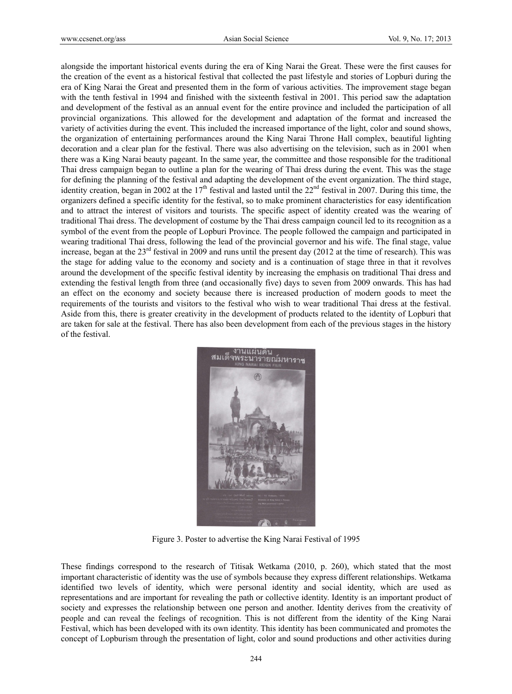alongside the important historical events during the era of King Narai the Great. These were the first causes for the creation of the event as a historical festival that collected the past lifestyle and stories of Lopburi during the era of King Narai the Great and presented them in the form of various activities. The improvement stage began with the tenth festival in 1994 and finished with the sixteenth festival in 2001. This period saw the adaptation and development of the festival as an annual event for the entire province and included the participation of all provincial organizations. This allowed for the development and adaptation of the format and increased the variety of activities during the event. This included the increased importance of the light, color and sound shows, the organization of entertaining performances around the King Narai Throne Hall complex, beautiful lighting decoration and a clear plan for the festival. There was also advertising on the television, such as in 2001 when there was a King Narai beauty pageant. In the same year, the committee and those responsible for the traditional Thai dress campaign began to outline a plan for the wearing of Thai dress during the event. This was the stage for defining the planning of the festival and adapting the development of the event organization. The third stage, identity creation, began in 2002 at the  $17<sup>th</sup>$  festival and lasted until the  $22<sup>nd</sup>$  festival in 2007. During this time, the organizers defined a specific identity for the festival, so to make prominent characteristics for easy identification and to attract the interest of visitors and tourists. The specific aspect of identity created was the wearing of traditional Thai dress. The development of costume by the Thai dress campaign council led to its recognition as a symbol of the event from the people of Lopburi Province. The people followed the campaign and participated in wearing traditional Thai dress, following the lead of the provincial governor and his wife. The final stage, value increase, began at the  $23<sup>rd</sup>$  festival in 2009 and runs until the present day (2012 at the time of research). This was the stage for adding value to the economy and society and is a continuation of stage three in that it revolves around the development of the specific festival identity by increasing the emphasis on traditional Thai dress and extending the festival length from three (and occasionally five) days to seven from 2009 onwards. This has had an effect on the economy and society because there is increased production of modern goods to meet the requirements of the tourists and visitors to the festival who wish to wear traditional Thai dress at the festival. Aside from this, there is greater creativity in the development of products related to the identity of Lopburi that are taken for sale at the festival. There has also been development from each of the previous stages in the history of the festival.



Figure 3. Poster to advertise the King Narai Festival of 1995

These findings correspond to the research of Titisak Wetkama (2010, p. 260), which stated that the most important characteristic of identity was the use of symbols because they express different relationships. Wetkama identified two levels of identity, which were personal identity and social identity, which are used as representations and are important for revealing the path or collective identity. Identity is an important product of society and expresses the relationship between one person and another. Identity derives from the creativity of people and can reveal the feelings of recognition. This is not different from the identity of the King Narai Festival, which has been developed with its own identity. This identity has been communicated and promotes the concept of Lopburism through the presentation of light, color and sound productions and other activities during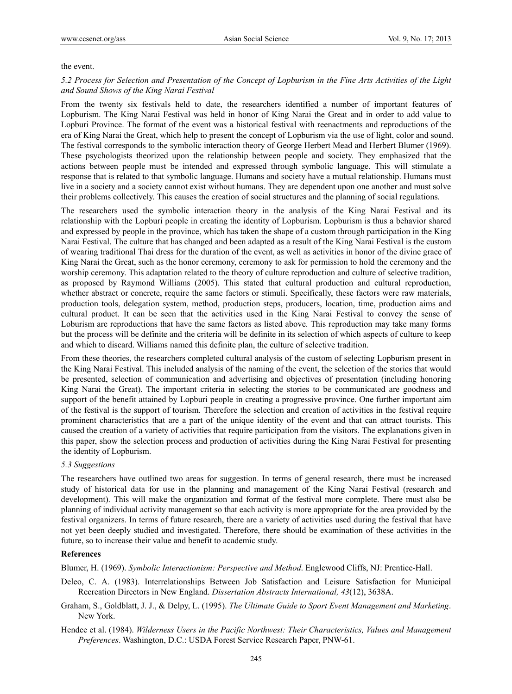## the event.

# *5.2 Process for Selection and Presentation of the Concept of Lopburism in the Fine Arts Activities of the Light and Sound Shows of the King Narai Festival*

From the twenty six festivals held to date, the researchers identified a number of important features of Lopburism. The King Narai Festival was held in honor of King Narai the Great and in order to add value to Lopburi Province. The format of the event was a historical festival with reenactments and reproductions of the era of King Narai the Great, which help to present the concept of Lopburism via the use of light, color and sound. The festival corresponds to the symbolic interaction theory of George Herbert Mead and Herbert Blumer (1969). These psychologists theorized upon the relationship between people and society. They emphasized that the actions between people must be intended and expressed through symbolic language. This will stimulate a response that is related to that symbolic language. Humans and society have a mutual relationship. Humans must live in a society and a society cannot exist without humans. They are dependent upon one another and must solve their problems collectively. This causes the creation of social structures and the planning of social regulations.

The researchers used the symbolic interaction theory in the analysis of the King Narai Festival and its relationship with the Lopburi people in creating the identity of Lopburism. Lopburism is thus a behavior shared and expressed by people in the province, which has taken the shape of a custom through participation in the King Narai Festival. The culture that has changed and been adapted as a result of the King Narai Festival is the custom of wearing traditional Thai dress for the duration of the event, as well as activities in honor of the divine grace of King Narai the Great, such as the honor ceremony, ceremony to ask for permission to hold the ceremony and the worship ceremony. This adaptation related to the theory of culture reproduction and culture of selective tradition, as proposed by Raymond Williams (2005). This stated that cultural production and cultural reproduction, whether abstract or concrete, require the same factors or stimuli. Specifically, these factors were raw materials, production tools, delegation system, method, production steps, producers, location, time, production aims and cultural product. It can be seen that the activities used in the King Narai Festival to convey the sense of Loburism are reproductions that have the same factors as listed above. This reproduction may take many forms but the process will be definite and the criteria will be definite in its selection of which aspects of culture to keep and which to discard. Williams named this definite plan, the culture of selective tradition.

From these theories, the researchers completed cultural analysis of the custom of selecting Lopburism present in the King Narai Festival. This included analysis of the naming of the event, the selection of the stories that would be presented, selection of communication and advertising and objectives of presentation (including honoring King Narai the Great). The important criteria in selecting the stories to be communicated are goodness and support of the benefit attained by Lopburi people in creating a progressive province. One further important aim of the festival is the support of tourism. Therefore the selection and creation of activities in the festival require prominent characteristics that are a part of the unique identity of the event and that can attract tourists. This caused the creation of a variety of activities that require participation from the visitors. The explanations given in this paper, show the selection process and production of activities during the King Narai Festival for presenting the identity of Lopburism.

# *5.3 Suggestions*

The researchers have outlined two areas for suggestion. In terms of general research, there must be increased study of historical data for use in the planning and management of the King Narai Festival (research and development). This will make the organization and format of the festival more complete. There must also be planning of individual activity management so that each activity is more appropriate for the area provided by the festival organizers. In terms of future research, there are a variety of activities used during the festival that have not yet been deeply studied and investigated. Therefore, there should be examination of these activities in the future, so to increase their value and benefit to academic study.

# **References**

Blumer, H. (1969). *Symbolic Interactionism: Perspective and Method*. Englewood Cliffs, NJ: Prentice-Hall.

- Deleo, C. A. (1983). Interrelationships Between Job Satisfaction and Leisure Satisfaction for Municipal Recreation Directors in New England. *Dissertation Abstracts International, 43*(12), 3638A.
- Graham, S., Goldblatt, J. J., & Delpy, L. (1995). *The Ultimate Guide to Sport Event Management and Marketing*. New York.
- Hendee et al. (1984). *Wilderness Users in the Pacific Northwest: Their Characteristics, Values and Management Preferences*. Washington, D.C.: USDA Forest Service Research Paper, PNW-61.